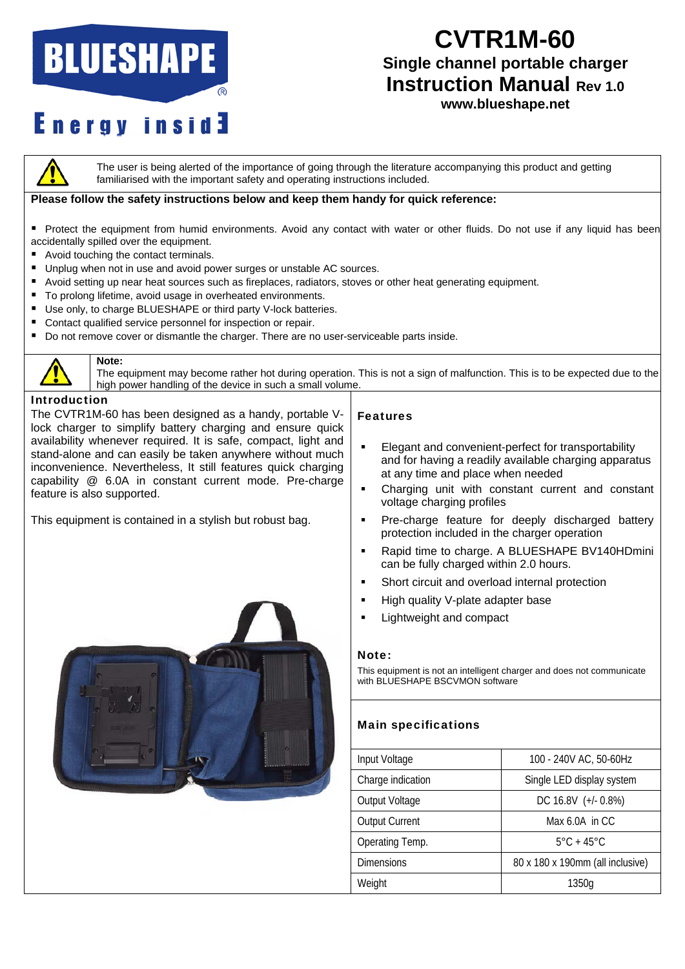# **BLUESHAPE**

## **CVTR1M-60**

### **Single channel portable charger Instruction Manual Rev 1.0**

## **Energy inside**

### **www.blueshape.net**



The user is being alerted of the importance of going through the literature accompanying this product and getting familiarised with the important safety and operating instructions included.

#### **Please follow the safety instructions below and keep them handy for quick reference:**

- Protect the equipment from humid environments. Avoid any contact with water or other fluids. Do not use if any liquid has been accidentally spilled over the equipment.
- Avoid touching the contact terminals.
- Unplug when not in use and avoid power surges or unstable AC sources.
- Avoid setting up near heat sources such as fireplaces, radiators, stoves or other heat generating equipment.
- To prolong lifetime, avoid usage in overheated environments.
- Use only, to charge BLUESHAPE or third party V-lock batteries.
- Contact qualified service personnel for inspection or repair.
- Do not remove cover or dismantle the charger. There are no user-serviceable parts inside.



#### **Note:**

The equipment may become rather hot during operation. This is not a sign of malfunction. This is to be expected due to the high power handling of the device in such a small volume.

#### Introduction

The CVTR1M-60 has been designed as a handy, portable Vlock charger to simplify battery charging and ensure quick availability whenever required. It is safe, compact, light and stand-alone and can easily be taken anywhere without much inconvenience. Nevertheless, It still features quick charging capability @ 6.0A in constant current mode. Pre-charge feature is also supported.

This equipment is contained in a stylish but robust bag.



#### Features

- **Elegant and convenient-perfect for transportability** and for having a readily available charging apparatus at any time and place when needed
- Charging unit with constant current and constant voltage charging profiles
- **Pre-charge feature for deeply discharged battery** protection included in the charger operation
- Rapid time to charge. A BLUESHAPE BV140HDmini can be fully charged within 2.0 hours.
- Short circuit and overload internal protection
- **High quality V-plate adapter base**
- **Lightweight and compact**

#### Note:

This equipment is not an intelligent charger and does not communicate with BLUESHAPE BSCVMON software

#### Main specifications

| Input Voltage         | 100 - 240V AC, 50-60Hz           |
|-----------------------|----------------------------------|
| Charge indication     | Single LED display system        |
| Output Voltage        | DC 16.8V (+/- 0.8%)              |
| <b>Output Current</b> | Max 6.0A in CC                   |
| Operating Temp.       | $5^{\circ}$ C + 45 $^{\circ}$ C  |
| <b>Dimensions</b>     | 80 x 180 x 190mm (all inclusive) |
| Weight                | 1350a                            |